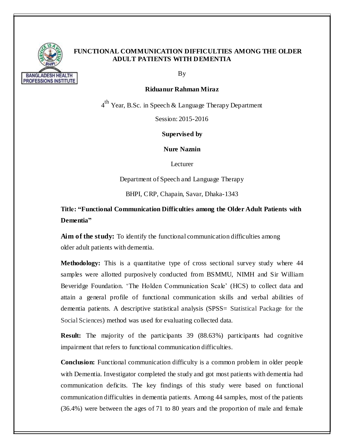

### **FUNCTIONAL COMMUNICATION DIFFICULTIES AMONG THE OLDER ADULT PATIENTS WITH DEMENTIA**

By

#### **Riduanur Rahman Miraz**

 $4^{\text{th}}$  Year, B.Sc. in Speech & Language Therapy Department

Session: 2015-2016

**Supervised by**

**Nure Naznin**

Lecturer

Department of Speech and Language Therapy

BHPI, CRP, Chapain, Savar, Dhaka-1343

**Title: "Functional Communication Difficulties among the Older Adult Patients with Dementia"**

**Aim of the study:** To identify the functional communication difficulties among older adult patients with dementia.

**Methodology:** This is a quantitative type of cross sectional survey study where 44 samples were allotted purposively conducted from BSMMU, NIMH and Sir William Beveridge Foundation. 'The Holden Communication Scale' (HCS) to collect data and attain a general profile of functional communication skills and verbal abilities of dementia patients. A descriptive statistical analysis (SPSS= Statistical Package for the Social Sciences) method was used for evaluating collected data.

**Result:** The majority of the participants 39 (88.63%) participants had cognitive impairment that refers to functional communication difficulties.

**Conclusion:** Functional communication difficulty is a common problem in older people with Dementia. Investigator completed the study and got most patients with dementia had communication deficits. The key findings of this study were based on functional communication difficulties in dementia patients. Among 44 samples, most of the patients (36.4%) were between the ages of 71 to 80 years and the proportion of male and female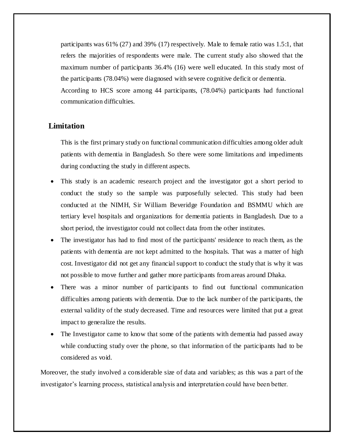participants was 61% (27) and 39% (17) respectively. Male to female ratio was 1.5:1, that refers the majorities of respondents were male. The current study also showed that the maximum number of participants 36.4% (16) were well educated. In this study most of the participants (78.04%) were diagnosed with severe cognitive deficit or dementia.

According to HCS score among 44 participants, (78.04%) participants had functional communication difficulties.

# **Limitation**

This is the first primary study on functional communication difficulties among older adult patients with dementia in Bangladesh. So there were some limitations and impediments during conducting the study in different aspects.

- This study is an academic research project and the investigator got a short period to conduct the study so the sample was purposefully selected. This study had been conducted at the NIMH, Sir William Beveridge Foundation and BSMMU which are tertiary level hospitals and organizations for dementia patients in Bangladesh. Due to a short period, the investigator could not collect data from the other institutes.
- The investigator has had to find most of the participants' residence to reach them, as the patients with dementia are not kept admitted to the hospitals. That was a matter of high cost. Investigator did not get any financial support to conduct the study that is why it was not possible to move further and gather more participants from areas around Dhaka.
- There was a minor number of participants to find out functional communication difficulties among patients with dementia. Due to the lack number of the participants, the external validity of the study decreased. Time and resources were limited that put a great impact to generalize the results.
- The Investigator came to know that some of the patients with dementia had passed away while conducting study over the phone, so that information of the participants had to be considered as void.

Moreover, the study involved a considerable size of data and variables; as this was a part of the investigator's learning process, statistical analysis and interpretation could have been better.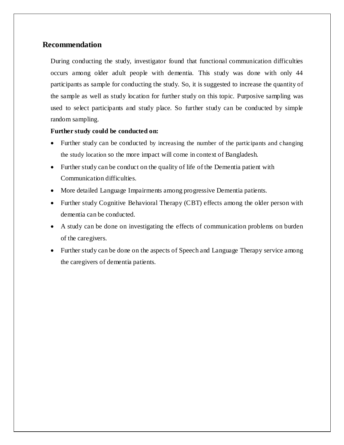### **Recommendation**

During conducting the study, investigator found that functional communication difficulties occurs among older adult people with dementia. This study was done with only 44 participants as sample for conducting the study. So, it is suggested to increase the quantity of the sample as well as study location for further study on this topic. Purposive sampling was used to select participants and study place. So further study can be conducted by simple random sampling.

#### **Further study could be conducted on:**

- Further study can be conducted by increasing the number of the participants and changing the study location so the more impact will come in context of Bangladesh.
- Further study can be conduct on the quality of life of the Dementia patient with Communication difficulties.
- More detailed Language Impairments among progressive Dementia patients.
- Further study Cognitive Behavioral Therapy (CBT) effects among the older person with dementia can be conducted.
- A study can be done on investigating the effects of communication problems on burden of the caregivers.
- Further study can be done on the aspects of Speech and Language Therapy service among the caregivers of dementia patients.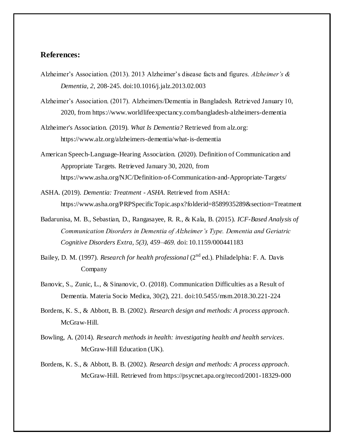## **References:**

- Alzheimer's Association. (2013). 2013 Alzheimer's disease facts and figures. *Alzheimer's & Dementia, 2*, 208-245. doi:10.1016/j.jalz.2013.02.003
- Alzheimer's Association. (2017). Alzheimers/Dementia in Bangladesh. Retrieved January 10, 2020, from https://www.worldlifeexpectancy.com/bangladesh-alzheimers-dementia
- Alzheimer's Association. (2019). *What Is Dementia?* Retrieved from alz.org: https://www.alz.org/alzheimers-dementia/what-is-dementia
- American Speech-Language-Hearing Association. (2020). Definition of Communication and Appropriate Targets. Retrieved January 30, 2020, from https://www.asha.org/NJC/Definition-of-Communication-and-Appropriate-Targets/
- ASHA. (2019). *Dementia: Treatment - ASHA*. Retrieved from ASHA: https://www.asha.org/PRPSpecificTopic.aspx?folderid=8589935289&section=Treatment
- Badarunisa, M. B., Sebastian, D., Rangasayee, R. R., & Kala, B. (2015). *ICF-Based Analysis of Communication Disorders in Dementia of Alzheimer's Type. Dementia and Geriatric Cognitive Disorders Extra, 5(3), 459–469.* doi: 10.1159/000441183
- Bailey, D. M. (1997). *Research for health professional* (2<sup>nd</sup> ed.). Philadelphia: F. A. Davis Company
- Banovic, S., Zunic, L., & Sinanovic, O. (2018). Communication Difficulties as a Result of Dementia. Materia Socio Medica, 30(2), 221. doi:10.5455/msm.2018.30.221-224
- Bordens, K. S., & Abbott, B. B. (2002). *Research design and methods: A process approach*. McGraw-Hill.
- Bowling, A. (2014). *Research methods in health: investigating health and health services*. McGraw-Hill Education (UK).
- Bordens, K. S., & Abbott, B. B. (2002). *Research design and methods: A process approach*. McGraw-Hill. Retrieved from https://psycnet.apa.org/record/2001-18329-000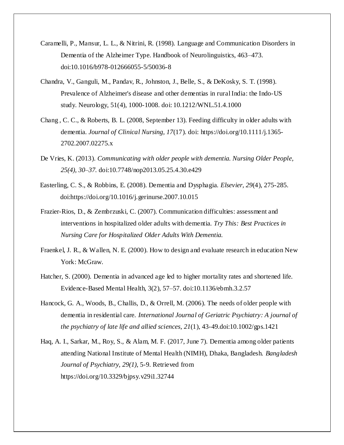- Caramelli, P., Mansur, L. L., & Nitrini, R. (1998). Language and Communication Disorders in Dementia of the Alzheimer Type. Handbook of Neurolinguistics, 463–473. doi:10.1016/b978-012666055-5/50036-8
- Chandra, V., Ganguli, M., Pandav, R., Johnston, J., Belle, S., & DeKosky, S. T. (1998). Prevalence of Alzheimer's disease and other dementias in rural India: the Indo-US study. Neurology, 51(4), 1000-1008. doi: 10.1212/WNL.51.4.1000
- Chang , C. C., & Roberts, B. L. (2008, September 13). Feeding difficulty in older adults with dementia. *Journal of Clinical Nursing, 17*(17). doi: https://doi.org/10.1111/j.1365- 2702.2007.02275.x
- De Vries, K. (2013). *Communicating with older people with dementia. Nursing Older People, 25(4), 30–37.* doi:10.7748/nop2013.05.25.4.30.e429
- Easterling, C. S., & Robbins, E. (2008). Dementia and Dysphagia. *Elsevier, 29*(4), 275-285. doi:https://doi.org/10.1016/j.gerinurse.2007.10.015
- Frazier-Rios, D., & Zembrzuski, C. (2007). Communication difficulties: assessment and interventions in hospitalized older adults with dementia. *Try This: Best Practices in Nursing Care for Hospitalized Older Adults With Dementia.*
- Fraenkel, J. R., & Wallen, N. E. (2000). How to design and evaluate research in education New York: McGraw.
- Hatcher, S. (2000). Dementia in advanced age led to higher mortality rates and shortened life. Evidence-Based Mental Health, 3(2), 57–57. doi:10.1136/ebmh.3.2.57
- Hancock, G. A., Woods, B., Challis, D., & Orrell, M. (2006). The needs of older people with dementia in residential care. *International Journal of Geriatric Psychiatry: A journal of the psychiatry of late life and allied sciences*, *21*(1), 43-49.doi:10.1002/gps.1421
- Haq, A. I., Sarkar, M., Roy, S., & Alam, M. F. (2017, June 7). Dementia among older patients attending National Institute of Mental Health (NIMH), Dhaka, Bangladesh. *Bangladesh Journal of Psychiatry, 29(1)*, 5-9. Retrieved from https://doi.org/10.3329/bjpsy.v29i1.32744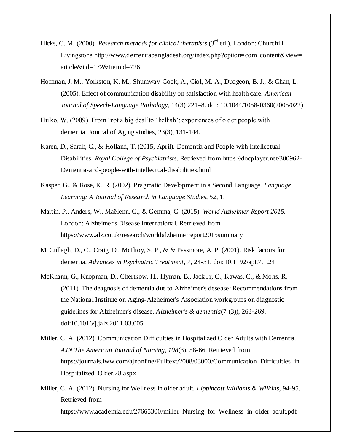- Hicks, C. M. (2000). *Research methods for clinical therapists* (3<sup>rd</sup> ed.). London: Churchill Livingstone.http://www.dementiabangladesh.org/index.php?option=com\_content&view= article&i d=172&Itemid=726
- Hoffman, J. M., Yorkston, K. M., Shumway-Cook, A., Ciol, M. A., Dudgeon, B. J., & Chan, L. (2005). Effect of communication disability on satisfaction with health care. *American Journal of Speech-Language Pathology*, 14(3):221–8. doi: 10.1044/1058-0360(2005/022)
- Hulko, W. (2009). From 'not a big deal'to 'hellish': experiences of older people with dementia. Journal of Aging studies, 23(3), 131-144.
- Karen, D., Sarah, C., & Holland, T. (2015, April). Dementia and People with Intellectual Disabilities. *Royal College of Psychiatrists*. Retrieved from https://docplayer.net/300962- Dementia-and-people-with-intellectual-disabilities.html
- Kasper, G., & Rose, K. R. (2002). Pragmatic Development in a Second Language. *Language Learning: A Journal of Research in Language Studies*, *52*, 1.
- Martin, P., Anders, W., Maëlenn, G., & Gemma, C. (2015). *World Alzheimer Report 2015.* London: Alzheimer's Disease International. Retrieved from https://www.alz.co.uk/research/worldalzheimerreport2015summary
- McCullagh, D., C., Craig, D., McIlroy, S. P., & & Passmore, A. P. (2001). Risk factors for dementia. *Advances in Psychiatric Treatment, 7*, 24-31. doi: 10.1192/apt.7.1.24
- McKhann, G., Knopman, D., Chertkow, H., Hyman, B., Jack Jr, C., Kawas, C., & Mohs, R. (2011). The deagnosis of dementia due to Alzheimer's desease: Recommendations from the National Institute on Aging-Alzheimer's Association workgroups on diagnostic guidelines for Alzheimer's disease. *Alzheimer's & dementia*(7 (3)), 263-269. doi:10.1016/j.jalz.2011.03.005
- Miller, C. A. (2012). Communication Difficulties in Hospitalized Older Adults with Dementia. *AJN The American Journal of Nursing, 108*(3), 58-66. Retrieved from https://journals.lww.com/ajnonline/Fulltext/2008/03000/Communication\_Difficulties\_in\_ Hospitalized\_Older.28.aspx
- Miller, C. A. (2012). Nursing for Wellness in older adult. *Lippincott Williams & Wilkins*, 94-95. Retrieved from https://www.academia.edu/27665300/miller\_Nursing\_for\_Wellness\_in\_older\_adult.pdf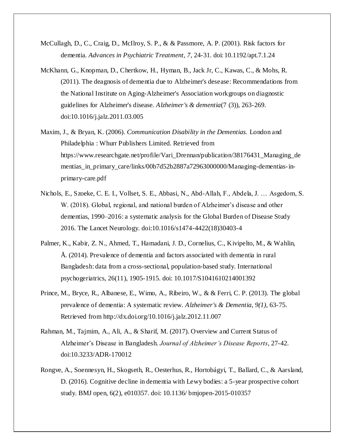- McCullagh, D., C., Craig, D., McIlroy, S. P., & & Passmore, A. P. (2001). Risk factors for dementia. *Advances in Psychiatric Treatment, 7*, 24-31. doi: 10.1192/apt.7.1.24
- McKhann, G., Knopman, D., Chertkow, H., Hyman, B., Jack Jr, C., Kawas, C., & Mohs, R. (2011). The deagnosis of dementia due to Alzheimer's desease: Recommendations from the National Institute on Aging-Alzheimer's Association workgroups on diagnostic guidelines for Alzheimer's disease. *Alzheimer's & dementia*(7 (3)), 263-269. doi:10.1016/j.jalz.2011.03.005
- Maxim, J., & Bryan, K. (2006). *Communication Disability in the Dementias.* London and Philadelphia : Whurr Publishers Limited. Retrieved from https://www.researchgate.net/profile/Vari\_Drennan/publication/38176431\_Managing\_de mentias\_in\_primary\_care/links/00b7d52b2887a72963000000/Managing-dementias-inprimary-care.pdf
- Nichols, E., Szoeke, C. E. I., Vollset, S. E., Abbasi, N., Abd-Allah, F., Abdela, J. … Asgedom, S. W. (2018). Global, regional, and national burden of Alzheimer's disease and other dementias, 1990–2016: a systematic analysis for the Global Burden of Disease Study 2016. The Lancet Neurology. doi:10.1016/s1474-4422(18)30403-4
- Palmer, K., Kabir, Z. N., Ahmed, T., Hamadani, J. D., Cornelius, C., Kivipelto, M., & Wahlin, Å. (2014). Prevalence of dementia and factors associated with dementia in rural Bangladesh: data from a cross-sectional, population-based study. International psychogeriatrics, 26(11), 1905-1915. doi: 10.1017/S1041610214001392
- Prince, M., Bryce, R., Albanese, E., Wimo, A., Ribeiro, W., & & Ferri, C. P. (2013). The global prevalence of dementia: A systematic review. *Alzheimer's & Dementia, 9(1)*, 63-75. Retrieved from http://dx.doi.org/10.1016/j.jalz.2012.11.007
- Rahman, M., Tajmim, A., Ali, A., & Sharif, M. (2017). Overview and Current Status of Alzheimer's Disease in Bangladesh. *Journal of Alzheimer's Disease Reports*, 27-42. doi:10.3233/ADR-170012
- Rongve, A., Soennesyn, H., Skogseth, R., Oesterhus, R., Hortobágyi, T., Ballard, C., & Aarsland, D. (2016). Cognitive decline in dementia with Lewy bodies: a 5-year prospective cohort study. BMJ open, 6(2), e010357. doi: 10.1136/ bmjopen-2015-010357